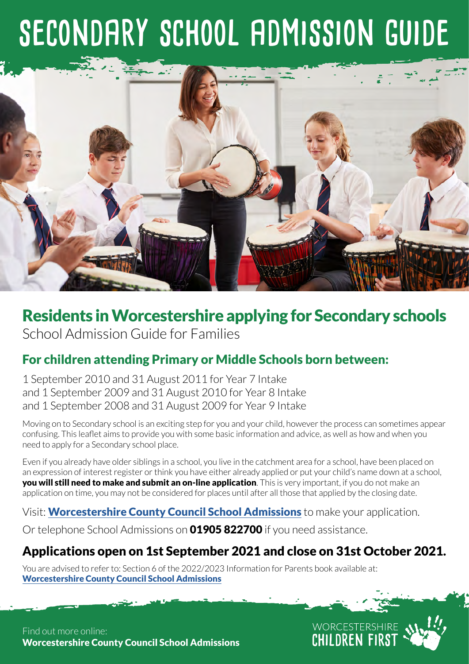# **secondary school admission guide**



# Residents in Worcestershire applying for Secondary schools

School Admission Guide for Families

# For children attending Primary or Middle Schools born between:

1 September 2010 and 31 August 2011 for Year 7 Intake and 1 September 2009 and 31 August 2010 for Year 8 Intake and 1 September 2008 and 31 August 2009 for Year 9 Intake

Moving on to Secondary school is an exciting step for you and your child, however the process can sometimes appear confusing. This leaflet aims to provide you with some basic information and advice, as well as how and when you need to apply for a Secondary school place.

Even if you already have older siblings in a school, you live in the catchment area for a school, have been placed on an expression of interest register or think you have either already applied or put your child's name down at a school, **you will still need to make and submit an on-line application**. This is very important, if you do not make an application on time, you may not be considered for places until after all those that applied by the closing date.

Visit: **[Worcestershire County Council School Admissions](http://www.worcestershire.gov.uk/schooladmissions)** to make your application.

Or telephone School Admissions on **01905 822700** if you need assistance.

# Applications open on 1st September 2021 and close on 31st October 2021.

WORCESTERSHIRE<br>CHILDREN FIRST

You are advised to refer to: Section 6 of the 2022/2023 Information for Parents book available at: [Worcestershire County Council School Admissions](http://www.worcestershire.gov.uk/schooladmissions)

Find out more online: [Worcestershire County Council School Admissions](http://www.worcestershire.gov.uk/schooladmissions)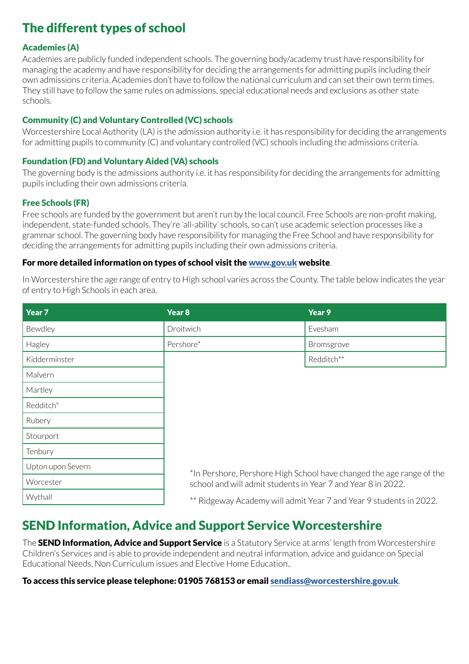# The different types of school

#### Academies (A)

Academies are publicly funded independent schools. The governing body/academy trust have responsibility for managing the academy and have responsibility for deciding the arrangements for admitting pupils including their own admissions criteria. Academies don't have to follow the national curriculum and can set their own term times. They still have to follow the same rules on admissions, special educational needs and exclusions as other state schools.

#### Community (C) and Voluntary Controlled (VC) schools

Worcestershire Local Authority (LA) is the admission authority i.e. it has responsibility for deciding the arrangements for admitting pupils to community (C) and voluntary controlled (VC) schools including the admissions criteria.

#### Foundation (FD) and Voluntary Aided (VA) schools

The governing body is the admissions authority i.e. it has responsibility for deciding the arrangements for admitting pupils including their own admissions criteria.

#### Free Schools (FR)

Free schools are funded by the government but aren't run by the local council. Free Schools are non-profit making, independent, state-funded schools. They're 'all-ability' schools, so can't use academic selection processes like a grammar school. The governing body have responsibility for managing the Free School and have responsibility for deciding the arrangements for admitting pupils including their own admissions criteria.

#### For more detailed information on types of school visit the [www.gov.uk](http://www.gov.uk) website.

In Worcestershire the age range of entry to High school varies across the County. The table below indicates the year of entry to High Schools in each area.

| Year 7            | Year <sub>8</sub>                                                                                                                    | Year 9     |  |
|-------------------|--------------------------------------------------------------------------------------------------------------------------------------|------------|--|
| Bewdley           | Droitwich                                                                                                                            | Evesham    |  |
| Hagley            | Pershore*                                                                                                                            | Bromsgrove |  |
| Kidderminster     |                                                                                                                                      | Redditch** |  |
| Malvern           |                                                                                                                                      |            |  |
| Martley           |                                                                                                                                      |            |  |
| Redditch*         |                                                                                                                                      |            |  |
| Rubery            |                                                                                                                                      |            |  |
| Stourport         |                                                                                                                                      |            |  |
| Tenbury           |                                                                                                                                      |            |  |
| Upton upon Severn |                                                                                                                                      |            |  |
| Worcester         | *In Pershore, Pershore High School have changed the age range of the<br>school and will admit students in Year 7 and Year 8 in 2022. |            |  |
| Wythall           | ** Ridgeway Academy will admit Year 7 and Year 9 students in 2022.                                                                   |            |  |

## SEND Information, Advice and Support Service Worcestershire

The **SEND Information, Advice and Support Service** is a Statutory Service at arms' length from Worcestershire Children's Services and is able to provide independent and neutral information, advice and guidance on Special Educational Needs, Non Curriculum issues and Elective Home Education..

#### To access this service please telephone: 01905 768153 or email [sendiass@worcestershire.gov.uk](mailto:sendiass%40worcestershire.gov.uk?subject=).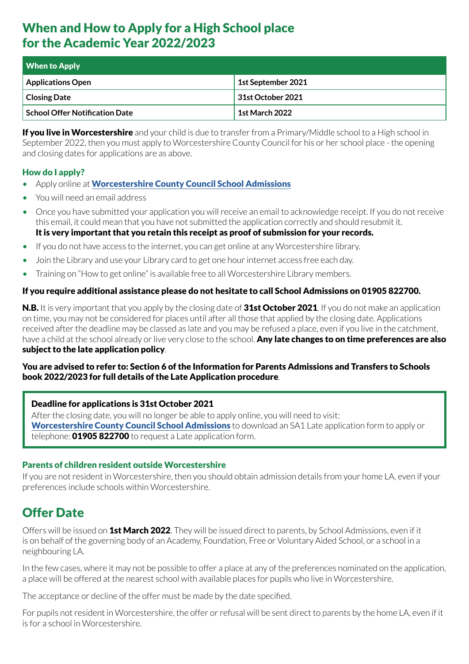# When and How to Apply for a High School place for the Academic Year 2022/2023

| <b>When to Apply</b>                  |                    |
|---------------------------------------|--------------------|
| <b>Applications Open</b>              | 1st September 2021 |
| <b>Closing Date</b>                   | 31st October 2021  |
| <b>School Offer Notification Date</b> | 1st March 2022     |

**If you live in Worcestershire** and your child is due to transfer from a Primary/Middle school to a High school in September 2022, then you must apply to Worcestershire County Council for his or her school place - the opening and closing dates for applications are as above.

#### How do I apply?

- Apply online at [Worcestershire County Council School Admissions](http://www.worcestershire.gov.uk/schooladmissions)
- You will need an email address
- Once you have submitted your application you will receive an email to acknowledge receipt. If you do not receive this email, it could mean that you have not submitted the application correctly and should resubmit it. It is very important that you retain this receipt as proof of submission for your records.
- If you do not have access to the internet, you can get online at any Worcestershire library.
- Join the Library and use your Library card to get one hour internet access free each day.
- Training on "How to get online" is available free to all Worcestershire Library members.

#### If you require additional assistance please do not hesitate to call School Admissions on 01905 822700.

N.B. It is very important that you apply by the closing date of 31st October 2021. If you do not make an application on time, you may not be considered for places until after all those that applied by the closing date. Applications received after the deadline may be classed as late and you may be refused a place, even if you live in the catchment, have a child at the school already or live very close to the school. Any late changes to on time preferences are also subject to the late application policy.

#### You are advised to refer to: Section 6 of the Information for Parents Admissions and Transfers to Schools book 2022/2023 for full details of the Late Application procedure.

#### Deadline for applications is 31st October 2021

After the closing date, you will no longer be able to apply online, you will need to visit: [Worcestershire County Council School Admissions](http://www.worcestershire.gov.uk/schooladmissions) to download an SA1 Late application form to apply or telephone: **01905 822700** to request a Late application form.

#### Parents of children resident outside Worcestershire

If you are not resident in Worcestershire, then you should obtain admission details from your home LA, even if your preferences include schools within Worcestershire.

# Offer Date

Offers will be issued on 1st March 2022. They will be issued direct to parents, by School Admissions, even if it is on behalf of the governing body of an Academy, Foundation, Free or Voluntary Aided School, or a school in a neighbouring LA.

In the few cases, where it may not be possible to offer a place at any of the preferences nominated on the application, a place will be offered at the nearest school with available places for pupils who live in Worcestershire.

The acceptance or decline of the offer must be made by the date specified.

For pupils not resident in Worcestershire, the offer or refusal will be sent direct to parents by the home LA, even if it is for a school in Worcestershire.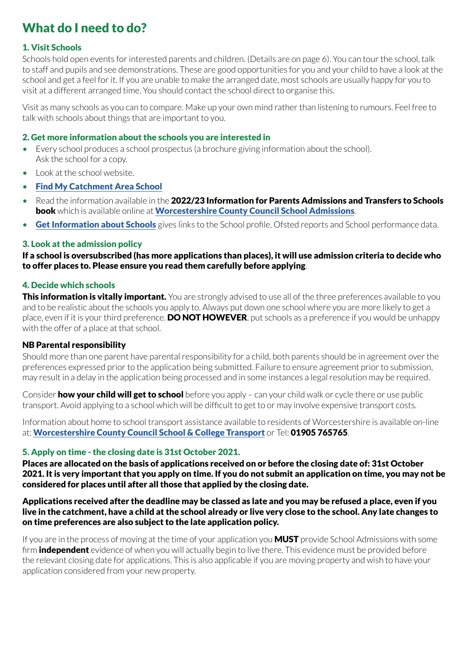# What do I need to do?

#### 1. Visit Schools

Schools hold open events for interested parents and children. (Details are on page 6). You can tour the school, talk to staff and pupils and see demonstrations. These are good opportunities for you and your child to have a look at the school and get a feel for it. If you are unable to make the arranged date, most schools are usually happy for you to visit at a different arranged time. You should contact the school direct to organise this.

Visit as many schools as you can to compare. Make up your own mind rather than listening to rumours. Feel free to talk with schools about things that are important to you.

#### 2. Get more information about the schools you are interested in

- Every school produces a school prospectus (a brochure giving information about the school). Ask the school for a copy.
- Look at the school website.
- [Find My Catchment Area School](https://capublic.worcestershire.gov.uk/SchoolSearchPublic/?_ga=2.80738206.843052486.1626887860-1191537832.1612861233)
- Read the information available in the 2022/23 Information for Parents Admissions and Transfers to Schools book which is available online at [Worcestershire County Council School Admissions](http://www.worcestershire.gov.uk/schooladmissions).
- [Get Information about Schools](https://www.get-information-schools.service.gov.uk/) gives links to the School profile, Ofsted reports and School performance data.

#### 3. Look at the admission policy

If a school is oversubscribed (has more applications than places), it will use admission criteria to decide who to offer places to. Please ensure you read them carefully before applying.

#### 4. Decide which schools

This information is vitally important. You are strongly advised to use all of the three preferences available to you and to be realistic about the schools you apply to. Always put down one school where you are more likely to get a place, even if it is your third preference. **DO NOT HOWEVER**, put schools as a preference if you would be unhappy with the offer of a place at that school.

#### NB Parental responsibility

Should more than one parent have parental responsibility for a child, both parents should be in agreement over the preferences expressed prior to the application being submitted. Failure to ensure agreement prior to submission, may result in a delay in the application being processed and in some instances a legal resolution may be required.

Consider **how your child will get to school** before you apply – can your child walk or cycle there or use public transport. Avoid applying to a school which will be difficult to get to or may involve expensive transport costs.

Information about home to school transport assistance available to residents of Worcestershire is available on-line at: [Worcestershire County Council School & College Transport](http://www.worcestershire.gov.uk/homepage/18/school_and_college_transport) or Tel: 01905 765765.

#### 5. Apply on time - the closing date is 31st October 2021.

Places are allocated on the basis of applications received on or before the closing date of: 31st October 2021. It is very important that you apply on time. If you do not submit an application on time, you may not be considered for places until after all those that applied by the closing date.

#### Applications received after the deadline may be classed as late and you may be refused a place, even if you live in the catchment, have a child at the school already or live very close to the school. Any late changes to on time preferences are also subject to the late application policy.

If you are in the process of moving at the time of your application you **MUST** provide School Admissions with some firm **independent** evidence of when you will actually begin to live there. This evidence must be provided before the relevant closing date for applications. This is also applicable if you are moving property and wish to have your application considered from your new property.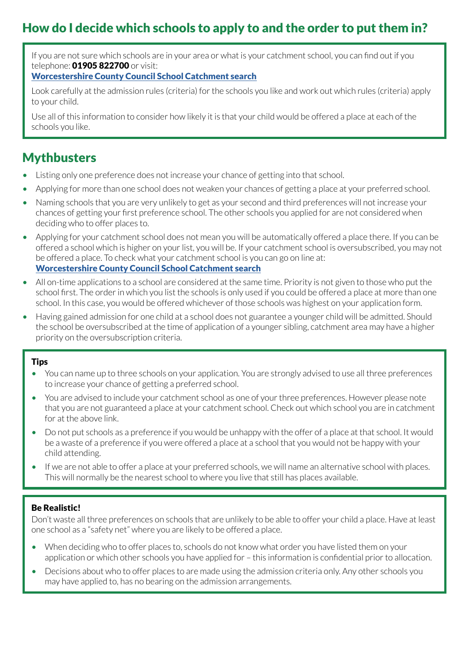# How do I decide which schools to apply to and the order to put them in?

If you are not sure which schools are in your area or what is your catchment school, you can find out if you telephone: **01905 822700** or visit:

#### [Worcestershire County Council School Catchment search](https://www.worcestershire.gov.uk/info/20062/schools/2098/find_a_school)

Look carefully at the admission rules (criteria) for the schools you like and work out which rules (criteria) apply to your child.

Use all of this information to consider how likely it is that your child would be offered a place at each of the schools you like.

### **Mythbusters**

- Listing only one preference does not increase your chance of getting into that school.
- Applying for more than one school does not weaken your chances of getting a place at your preferred school.
- Naming schools that you are very unlikely to get as your second and third preferences will not increase your chances of getting your first preference school. The other schools you applied for are not considered when deciding who to offer places to.
- Applying for your catchment school does not mean you will be automatically offered a place there. If you can be offered a school which is higher on your list, you will be. If your catchment school is oversubscribed, you may not be offered a place. To check what your catchment school is you can go on line at: [Worcestershire County Council School Catchment search](https://www.worcestershire.gov.uk/info/20062/schools/2098/find_a_school)
- All on-time applications to a school are considered at the same time. Priority is not given to those who put the school first. The order in which you list the schools is only used if you could be offered a place at more than one school. In this case, you would be offered whichever of those schools was highest on your application form.
- Having gained admission for one child at a school does not guarantee a younger child will be admitted. Should the school be oversubscribed at the time of application of a younger sibling, catchment area may have a higher priority on the oversubscription criteria.

#### **Tips**

- You can name up to three schools on your application. You are strongly advised to use all three preferences to increase your chance of getting a preferred school.
- You are advised to include your catchment school as one of your three preferences. However please note that you are not guaranteed a place at your catchment school. Check out which school you are in catchment for at the above link.
- Do not put schools as a preference if you would be unhappy with the offer of a place at that school. It would be a waste of a preference if you were offered a place at a school that you would not be happy with your child attending.
- If we are not able to offer a place at your preferred schools, we will name an alternative school with places. This will normally be the nearest school to where you live that still has places available.

#### Be Realistic!

Don't waste all three preferences on schools that are unlikely to be able to offer your child a place. Have at least one school as a "safety net" where you are likely to be offered a place.

- When deciding who to offer places to, schools do not know what order you have listed them on your application or which other schools you have applied for – this information is confidential prior to allocation.
- Decisions about who to offer places to are made using the admission criteria only. Any other schools you may have applied to, has no bearing on the admission arrangements.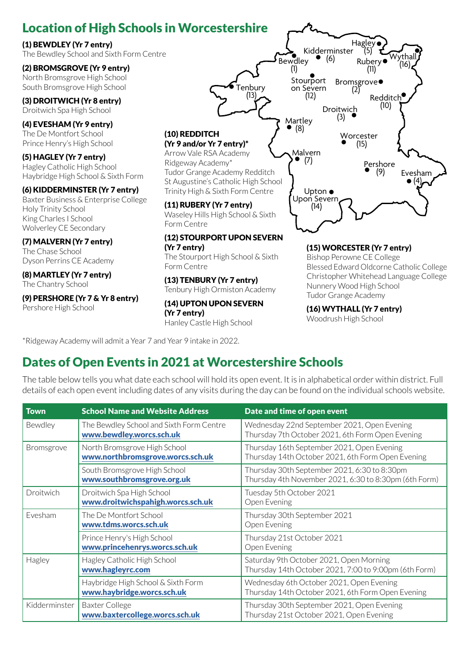# Location of High Schools in Worcestershire

#### (1) BEWDLEY (Yr 7 entry)

The Bewdley School and Sixth Form Centre

#### (2) BROMSGROVE (Yr 9 entry) North Bromsgrove High School

South Bromsgrove High School

(3) DROITWICH (Yr 8 entry) Droitwich Spa High School

(4) EVESHAM (Yr 9 entry) The De Montfort School Prince Henry's High School

(5) HAGLEY (Yr 7 entry) Hagley Catholic High School Haybridge High School & Sixth Form

#### (6) KIDDERMINSTER (Yr 7 entry)

Baxter Business & Enterprise College Holy Trinity School King Charles I School Wolverley CE Secondary

#### (7) MALVERN (Yr 7 entry)

The Chase School Dyson Perrins CE Academy

(8) MARTLEY (Yr 7 entry) The Chantry School

(9) PERSHORE (Yr 7 & Yr 8 entry) Pershore High School

(10) REDDITCH (Yr 9 and/or Yr 7 entry)\* Arrow Vale RSA Academy Ridgeway Academy\* Tudor Grange Academy Redditch

Tenbury (13)

St Augustine's Catholic High School Trinity High & Sixth Form Centre

#### (11) RUBERY (Yr 7 entry) Waseley Hills High School & Sixth Form Centre

#### (12) STOURPORT UPON SEVERN (Yr 7 entry)

The Stourport High School & Sixth Form Centre

#### (13) TENBURY (Yr 7 entry) Tenbury High Ormiston Academy

(14) UPTON UPON SEVERN (Yr 7 entry)

Hanley Castle High School

Kidderminster<br>  $\bullet$  (6) Bewdley (1) Bromsgrove (2) Rubery (11) Hagley<br>r (5) Wythall  $(16)$ **Redditch**  (10) Evesham  $\bullet$  (4), Pershore (9) Worcester (15) Droitwich<br>● (3) Martley<br>  $\bullet$  (8) (8) Malvern (7) **′ Upton ●**<br>Upon Severr (14) ∴<br>Stourport on Severn (12)

#### (15) WORCESTER (Yr 7 entry)

Bishop Perowne CE College Blessed Edward Oldcorne Catholic College Christopher Whitehead Language College Nunnery Wood High School Tudor Grange Academy

(16) WYTHALL (Yr 7 entry) Woodrush High School

\*Ridgeway Academy will admit a Year 7 and Year 9 intake in 2022.

# Dates of Open Events in 2021 at Worcestershire Schools

The table below tells you what date each school will hold its open event. It is in alphabetical order within district. Full details of each open event including dates of any visits during the day can be found on the individual schools website.

| <b>Town</b>   | <b>School Name and Website Address</b>                               | Date and time of open event                                                                           |  |
|---------------|----------------------------------------------------------------------|-------------------------------------------------------------------------------------------------------|--|
| Bewdley       | The Bewdley School and Sixth Form Centre<br>www.bewdley.worcs.sch.uk | Wednesday 22nd September 2021, Open Evening<br>Thursday 7th October 2021, 6th Form Open Evening       |  |
| Bromsgrove    | North Bromsgrove High School<br>www.northbromsgrove.worcs.sch.uk     | Thursday 16th September 2021, Open Evening<br>Thursday 14th October 2021, 6th Form Open Evening       |  |
|               | South Bromsgrove High School<br>www.southbromsgrove.org.uk           | Thursday 30th September 2021, 6:30 to 8:30pm<br>Thursday 4th November 2021, 6:30 to 8:30pm (6th Form) |  |
| Droitwich     | Droitwich Spa High School<br>www.droitwichspahigh.worcs.sch.uk       | Tuesday 5th October 2021<br>Open Evening                                                              |  |
| Fvesham       | The De Montfort School<br>www.tdms.worcs.sch.uk                      | Thursday 30th September 2021<br>Open Evening                                                          |  |
|               | Prince Henry's High School<br>www.princehenrys.worcs.sch.uk          | Thursday 21st October 2021<br>Open Evening                                                            |  |
| Hagley        | Hagley Catholic High School<br>www.hagleyrc.com                      | Saturday 9th October 2021, Open Morning<br>Thursday 14th October 2021, 7:00 to 9:00pm (6th Form)      |  |
|               | Haybridge High School & Sixth Form<br>www.haybridge.worcs.sch.uk     | Wednesday 6th October 2021, Open Evening<br>Thursday 14th October 2021, 6th Form Open Evening         |  |
| Kidderminster | <b>Baxter College</b><br>www.baxtercollege.worcs.sch.uk              | Thursday 30th September 2021, Open Evening<br>Thursday 21st October 2021, Open Evening                |  |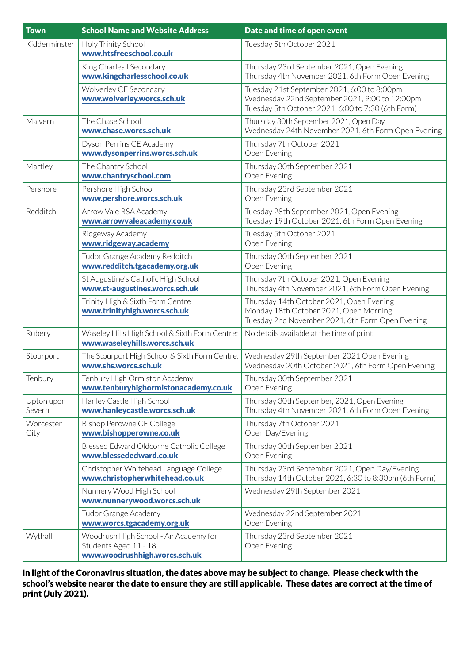| <b>Town</b>          | <b>School Name and Website Address</b>                                                           | Date and time of open event                                                                                                                        |
|----------------------|--------------------------------------------------------------------------------------------------|----------------------------------------------------------------------------------------------------------------------------------------------------|
| Kidderminster        | Holy Trinity School<br>www.htsfreeschool.co.uk                                                   | Tuesday 5th October 2021                                                                                                                           |
|                      | King Charles I Secondary<br>www.kingcharlesschool.co.uk                                          | Thursday 23rd September 2021, Open Evening<br>Thursday 4th November 2021, 6th Form Open Evening                                                    |
|                      | Wolverley CE Secondary<br>www.wolverley.worcs.sch.uk                                             | Tuesday 21st September 2021, 6:00 to 8:00pm<br>Wednesday 22nd September 2021, 9:00 to 12:00pm<br>Tuesday 5th October 2021, 6:00 to 7:30 (6th Form) |
| Malvern              | The Chase School<br>www.chase.worcs.sch.uk                                                       | Thursday 30th September 2021, Open Day<br>Wednesday 24th November 2021, 6th Form Open Evening                                                      |
|                      | Dyson Perrins CE Academy<br>www.dysonperrins.worcs.sch.uk                                        | Thursday 7th October 2021<br>Open Evening                                                                                                          |
| Martley              | The Chantry School<br>www.chantryschool.com                                                      | Thursday 30th September 2021<br>Open Evening                                                                                                       |
| Pershore             | Pershore High School<br>www.pershore.worcs.sch.uk                                                | Thursday 23rd September 2021<br>Open Evening                                                                                                       |
| Redditch             | Arrow Vale RSA Academy<br>www.arrowvaleacademy.co.uk                                             | Tuesday 28th September 2021, Open Evening<br>Tuesday 19th October 2021, 6th Form Open Evening                                                      |
|                      | Ridgeway Academy<br>www.ridgeway.academy                                                         | Tuesday 5th October 2021<br>Open Evening                                                                                                           |
|                      | Tudor Grange Academy Redditch<br>www.redditch.tgacademy.org.uk                                   | Thursday 30th September 2021<br>Open Evening                                                                                                       |
|                      | St Augustine's Catholic High School<br>www.st-augustines.worcs.sch.uk                            | Thursday 7th October 2021, Open Evening<br>Thursday 4th November 2021, 6th Form Open Evening                                                       |
|                      | Trinity High & Sixth Form Centre<br>www.trinityhigh.worcs.sch.uk                                 | Thursday 14th October 2021, Open Evening<br>Monday 18th October 2021, Open Morning<br>Tuesday 2nd November 2021, 6th Form Open Evening             |
| Rubery               | Waseley Hills High School & Sixth Form Centre:<br>www.waseleyhills.worcs.sch.uk                  | No details available at the time of print                                                                                                          |
| Stourport            | The Stourport High School & Sixth Form Centre:<br>www.shs.worcs.sch.uk                           | Wednesday 29th September 2021 Open Evening<br>Wednesday 20th October 2021, 6th Form Open Evening                                                   |
| Tenbury              | Tenbury High Ormiston Academy<br>www.tenburyhighormistonacademy.co.uk                            | Thursday 30th September 2021<br>Open Evening                                                                                                       |
| Upton upon<br>Severn | Hanley Castle High School<br>www.hanleycastle.worcs.sch.uk                                       | Thursday 30th September, 2021, Open Evening<br>Thursday 4th November 2021, 6th Form Open Evening                                                   |
| Worcester<br>City    | <b>Bishop Perowne CE College</b><br>www.bishopperowne.co.uk                                      | Thursday 7th October 2021<br>Open Day/Evening                                                                                                      |
|                      | Blessed Edward Oldcorne Catholic College<br>www.blessededward.co.uk                              | Thursday 30th September 2021<br>Open Evening                                                                                                       |
|                      | Christopher Whitehead Language College<br>www.christopherwhitehead.co.uk                         | Thursday 23rd September 2021, Open Day/Evening<br>Thursday 14th October 2021, 6:30 to 8:30pm (6th Form)                                            |
|                      | Nunnery Wood High School<br>www.nunnerywood.worcs.sch.uk                                         | Wednesday 29th September 2021                                                                                                                      |
|                      | Tudor Grange Academy<br>www.worcs.tgacademy.org.uk                                               | Wednesday 22nd September 2021<br>Open Evening                                                                                                      |
| Wythall              | Woodrush High School - An Academy for<br>Students Aged 11 - 18.<br>www.woodrushhigh.worcs.sch.uk | Thursday 23rd September 2021<br>Open Evening                                                                                                       |

In light of the Coronavirus situation, the dates above may be subject to change. Please check with the school's website nearer the date to ensure they are still applicable. These dates are correct at the time of print (July 2021).